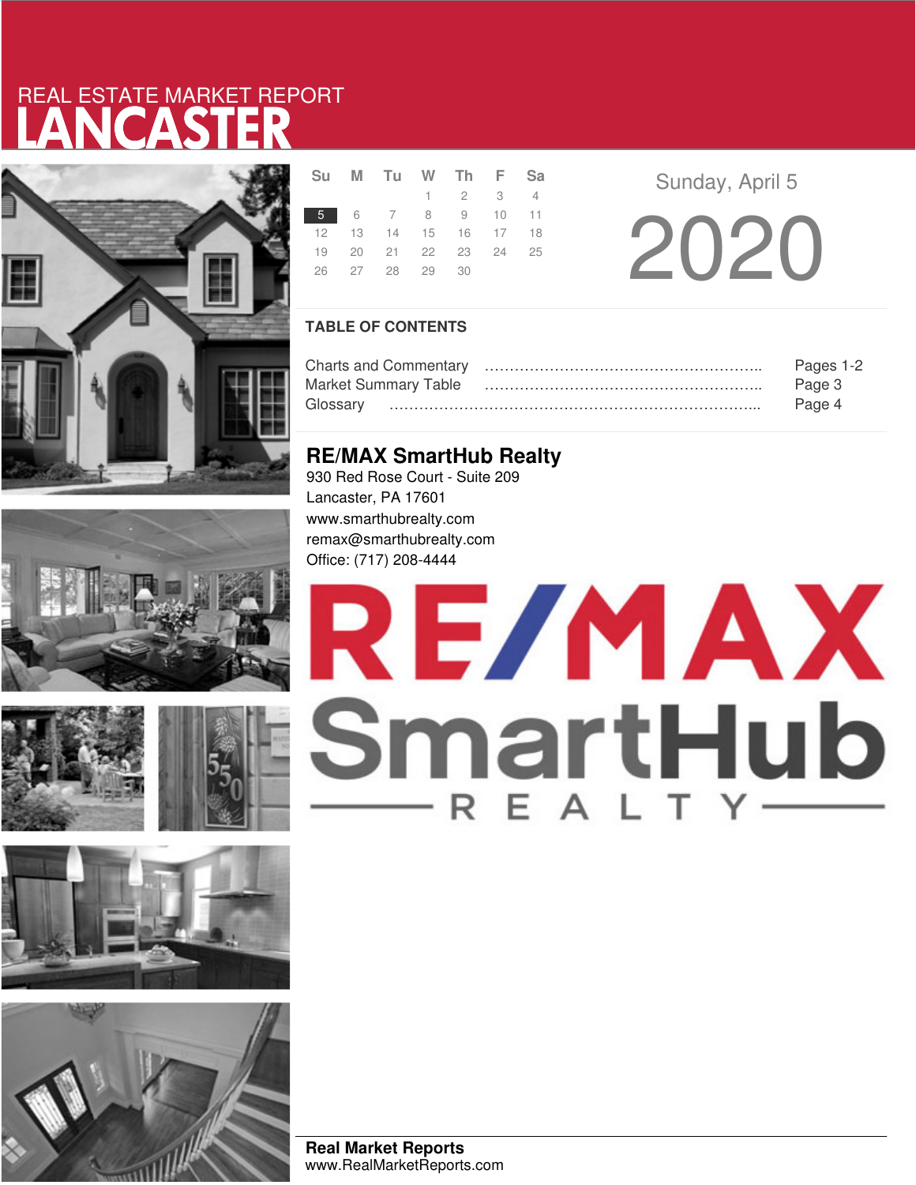# LANCASTER REAL ESTATE MARKET REPORT













|  | Su M Tu W Th F Sa    |                 |  |  |
|--|----------------------|-----------------|--|--|
|  |                      | $1 \t2 \t3 \t4$ |  |  |
|  | 5 6 7 8 9 10 11      |                 |  |  |
|  | 12 13 14 15 16 17 18 |                 |  |  |
|  | 19 20 21 22 23 24 25 |                 |  |  |
|  | 26 27 28 29 30       |                 |  |  |
|  |                      |                 |  |  |

**Sunday, April 5** 20 20

## **TABLE OF CONTENTS**

|                             | Pages 1-2 |
|-----------------------------|-----------|
| <b>Market Summary Table</b> | Page 3    |
| Glossarv                    | Page 4    |

# **RE/MAX SmartHub Realty**

930 Red Rose Court - Suite 209 Lancaster, PA 17601 www.smarthubrealty.com remax@smarthubrealty.com Office: (717) 208-4444

# RE/MAX SmartHub

**Real Market Reports** www.RealMarketReports.com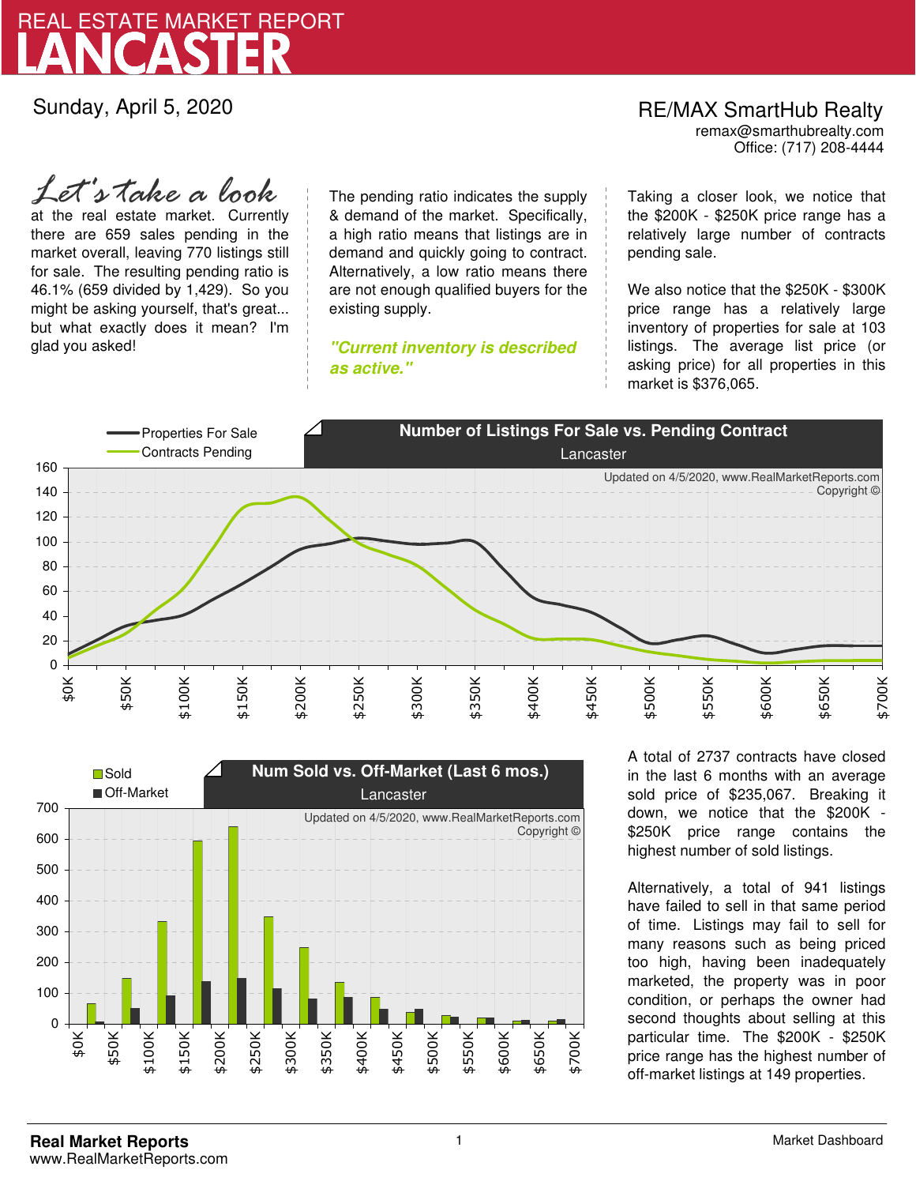

Sunday, April 5, 2020

# RE/MAX SmartHub Realty remax@smarthubrealty.com

Office: (717) 208-4444

at the real estate market. Currently there are 659 sales pending in the market overall, leaving 770 listings still for sale. The resulting pending ratio is 46.1% (659 divided by 1,429). So you might be asking yourself, that's great... but what exactly does it mean? I'm glad you asked! *Let's take a look*

The pending ratio indicates the supply & demand of the market. Specifically, a high ratio means that listings are in demand and quickly going to contract. Alternatively, a low ratio means there are not enough qualified buyers for the existing supply.

**"Current inventory is described as active."**

Taking a closer look, we notice that the \$200K - \$250K price range has a relatively large number of contracts pending sale.

We also notice that the \$250K - \$300K price range has a relatively large inventory of properties for sale at 103 listings. The average list price (or asking price) for all properties in this market is \$376,065.





A total of 2737 contracts have closed in the last 6 months with an average sold price of \$235,067. Breaking it down, we notice that the \$200K - \$250K price range contains the highest number of sold listings.

Alternatively, a total of 941 listings have failed to sell in that same period of time. Listings may fail to sell for many reasons such as being priced too high, having been inadequately marketed, the property was in poor condition, or perhaps the owner had second thoughts about selling at this particular time. The \$200K - \$250K price range has the highest number of off-market listings at 149 properties.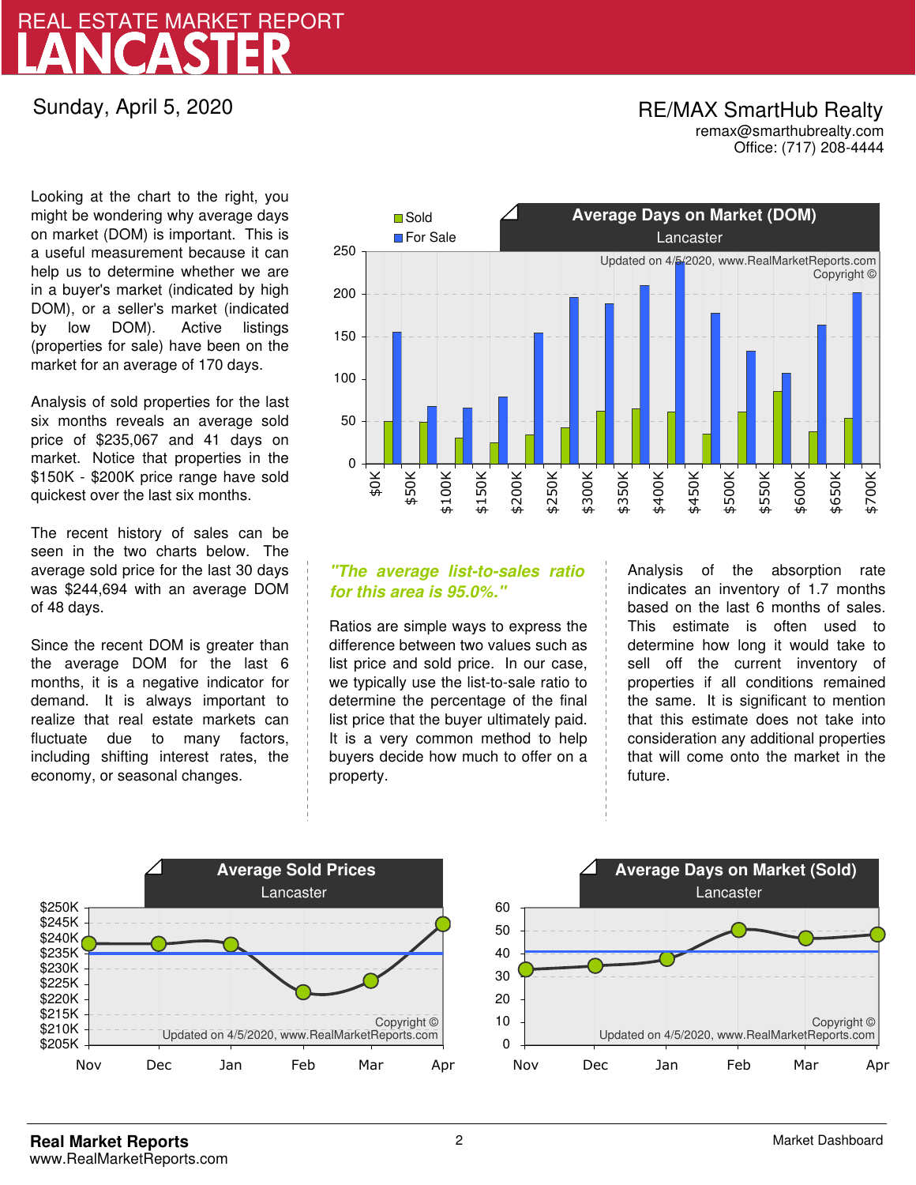# LANCASTER REAL ESTATE MARKET REPORT

Sunday, April 5, 2020

## RE/MAX SmartHub Realty remax@smarthubrealty.com

Office: (717) 208-4444

Looking at the chart to the right, you might be wondering why average days on market (DOM) is important. This is a useful measurement because it can help us to determine whether we are in a buyer's market (indicated by high DOM), or a seller's market (indicated by low DOM). Active listings (properties for sale) have been on the market for an average of 170 days.

Analysis of sold properties for the last six months reveals an average sold price of \$235,067 and 41 days on market. Notice that properties in the \$150K - \$200K price range have sold quickest over the last six months.

The recent history of sales can be seen in the two charts below. The average sold price for the last 30 days was \$244,694 with an average DOM of 48 days.

Since the recent DOM is greater than the average DOM for the last 6 months, it is a negative indicator for demand. It is always important to realize that real estate markets can fluctuate due to many factors, including shifting interest rates, the economy, or seasonal changes.



## **"The average list-to-sales ratio for this area is 95.0%."**

Ratios are simple ways to express the difference between two values such as list price and sold price. In our case, we typically use the list-to-sale ratio to determine the percentage of the final list price that the buyer ultimately paid. It is a very common method to help buyers decide how much to offer on a property.

Analysis of the absorption rate indicates an inventory of 1.7 months based on the last 6 months of sales. This estimate is often used to determine how long it would take to sell off the current inventory of properties if all conditions remained the same. It is significant to mention that this estimate does not take into consideration any additional properties that will come onto the market in the future.



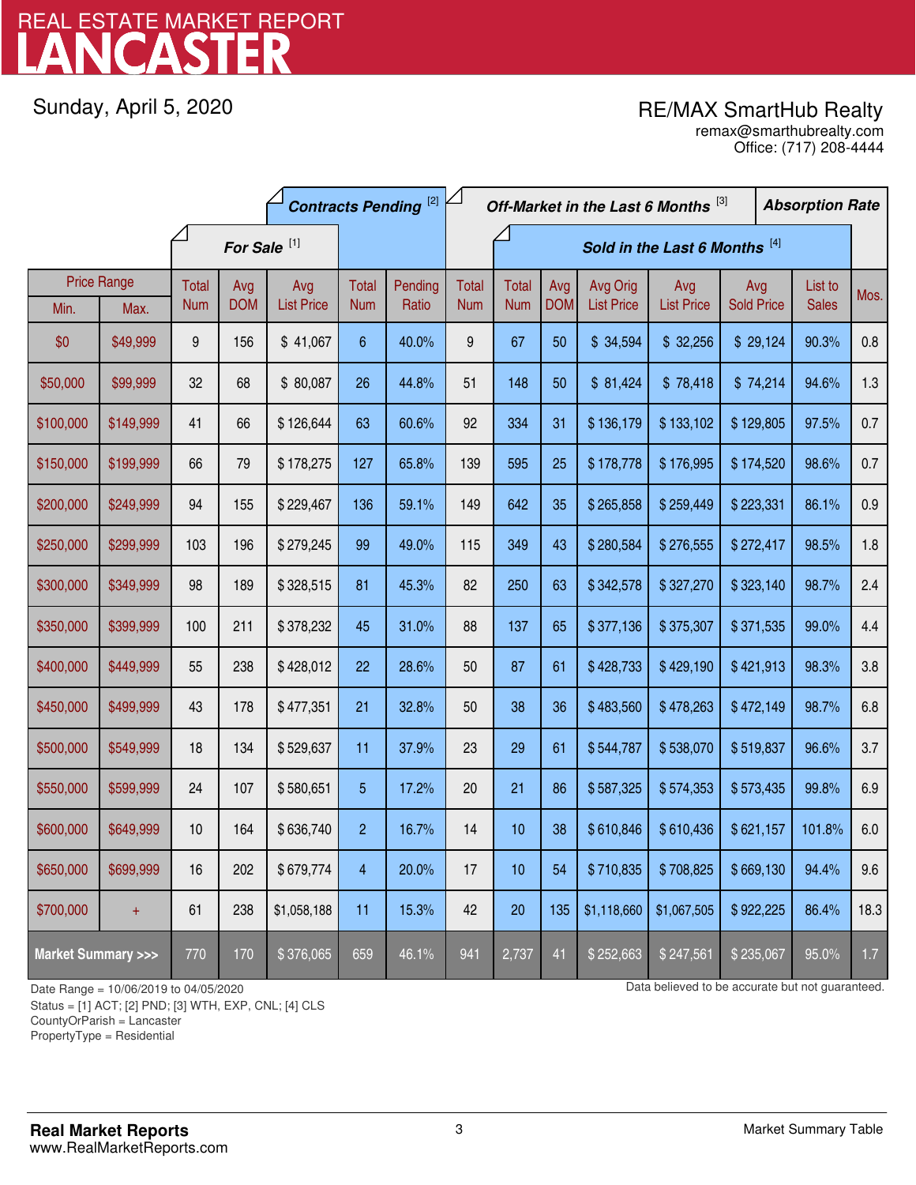# LANCASTER REAL ESTATE MARKET REPORT

Sunday, April 5, 2020

# RE/MAX SmartHub Realty

Office: (717) 208-4444 remax@smarthubrealty.com

|                                    |                    | <b>Contracts Pending [2]</b> |            |                   |                         |         | Off-Market in the Last 6 Months [3] |              |            |                   |                   | <b>Absorption Rate</b> |  |              |      |
|------------------------------------|--------------------|------------------------------|------------|-------------------|-------------------------|---------|-------------------------------------|--------------|------------|-------------------|-------------------|------------------------|--|--------------|------|
|                                    |                    | For Sale <sup>[1]</sup>      |            |                   |                         |         | Sold in the Last 6 Months [4]       |              |            |                   |                   |                        |  |              |      |
|                                    | <b>Price Range</b> | Total                        | Avg        | Avg               | Total                   | Pending | <b>Total</b>                        | <b>Total</b> | Avg        | Avg Orig          | Avg               | Avg                    |  | List to      | Mos. |
| Min.                               | Max.               | <b>Num</b>                   | <b>DOM</b> | <b>List Price</b> | <b>Num</b>              | Ratio   | <b>Num</b>                          | <b>Num</b>   | <b>DOM</b> | <b>List Price</b> | <b>List Price</b> | <b>Sold Price</b>      |  | <b>Sales</b> |      |
| \$0                                | \$49,999           | 9                            | 156        | \$41,067          | $6\phantom{.}6$         | 40.0%   | 9                                   | 67           | 50         | \$34,594          | \$32,256          | \$29,124               |  | 90.3%        | 0.8  |
| \$50,000                           | \$99,999           | 32                           | 68         | \$80,087          | 26                      | 44.8%   | 51                                  | 148          | 50         | \$81,424          | \$78,418          | \$74,214               |  | 94.6%        | 1.3  |
| \$100,000                          | \$149,999          | 41                           | 66         | \$126,644         | 63                      | 60.6%   | 92                                  | 334          | 31         | \$136,179         | \$133,102         | \$129,805              |  | 97.5%        | 0.7  |
| \$150,000                          | \$199,999          | 66                           | 79         | \$178,275         | 127                     | 65.8%   | 139                                 | 595          | 25         | \$178,778         | \$176,995         | \$174,520              |  | 98.6%        | 0.7  |
| \$200,000                          | \$249,999          | 94                           | 155        | \$229,467         | 136                     | 59.1%   | 149                                 | 642          | 35         | \$265,858         | \$259,449         | \$223,331              |  | 86.1%        | 0.9  |
| \$250,000                          | \$299,999          | 103                          | 196        | \$279,245         | 99                      | 49.0%   | 115                                 | 349          | 43         | \$280,584         | \$276,555         | \$272,417              |  | 98.5%        | 1.8  |
| \$300,000                          | \$349,999          | 98                           | 189        | \$328,515         | 81                      | 45.3%   | 82                                  | 250          | 63         | \$342,578         | \$327,270         | \$323,140              |  | 98.7%        | 2.4  |
| \$350,000                          | \$399,999          | 100                          | 211        | \$378,232         | 45                      | 31.0%   | 88                                  | 137          | 65         | \$377,136         | \$375,307         | \$371,535              |  | 99.0%        | 4.4  |
| \$400,000                          | \$449,999          | 55                           | 238        | \$428,012         | 22                      | 28.6%   | 50                                  | 87           | 61         | \$428,733         | \$429,190         | \$421,913              |  | 98.3%        | 3.8  |
| \$450,000                          | \$499,999          | 43                           | 178        | \$477,351         | 21                      | 32.8%   | 50                                  | 38           | 36         | \$483,560         | \$478,263         | \$472,149              |  | 98.7%        | 6.8  |
| \$500,000                          | \$549,999          | 18                           | 134        | \$529,637         | 11                      | 37.9%   | 23                                  | 29           | 61         | \$544,787         | \$538,070         | \$519,837              |  | 96.6%        | 3.7  |
| \$550,000                          | \$599,999          | 24                           | 107        | \$580,651         | 5                       | 17.2%   | 20                                  | 21           | 86         | \$587,325         | \$574,353         | \$573,435              |  | 99.8%        | 6.9  |
| \$600,000                          | \$649,999          | 10                           | 164        | \$636,740         | $\overline{c}$          | 16.7%   | 14                                  | 10           | 38         | \$610,846         | \$610,436         | \$621,157              |  | 101.8%       | 6.0  |
| \$650,000                          | \$699,999          | 16                           | 202        | \$679,774         | $\overline{\mathbf{4}}$ | 20.0%   | 17                                  | 10           | 54         | \$710,835         | \$708,825         | \$669,130              |  | 94.4%        | 9.6  |
| \$700,000                          | $+$                | 61                           | 238        | \$1,058,188       | 11                      | 15.3%   | 42                                  | 20           | 135        | \$1,118,660       | \$1,067,505       | \$922,225              |  | 86.4%        | 18.3 |
| <b>Market Summary &gt;&gt;&gt;</b> |                    | 770                          | 170        | \$376,065         | 659                     | 46.1%   | 941                                 | 2,737        | 41         | \$252,663         | \$247,561         | \$235,067              |  | 95.0%        | 1.7  |

Status = [1] ACT; [2] PND; [3] WTH, EXP, CNL; [4] CLS

CountyOrParish = Lancaster

PropertyType = Residential

1

Date Range = 10/06/2019 to 04/05/2020 Data believed to be accurate but not guaranteed.